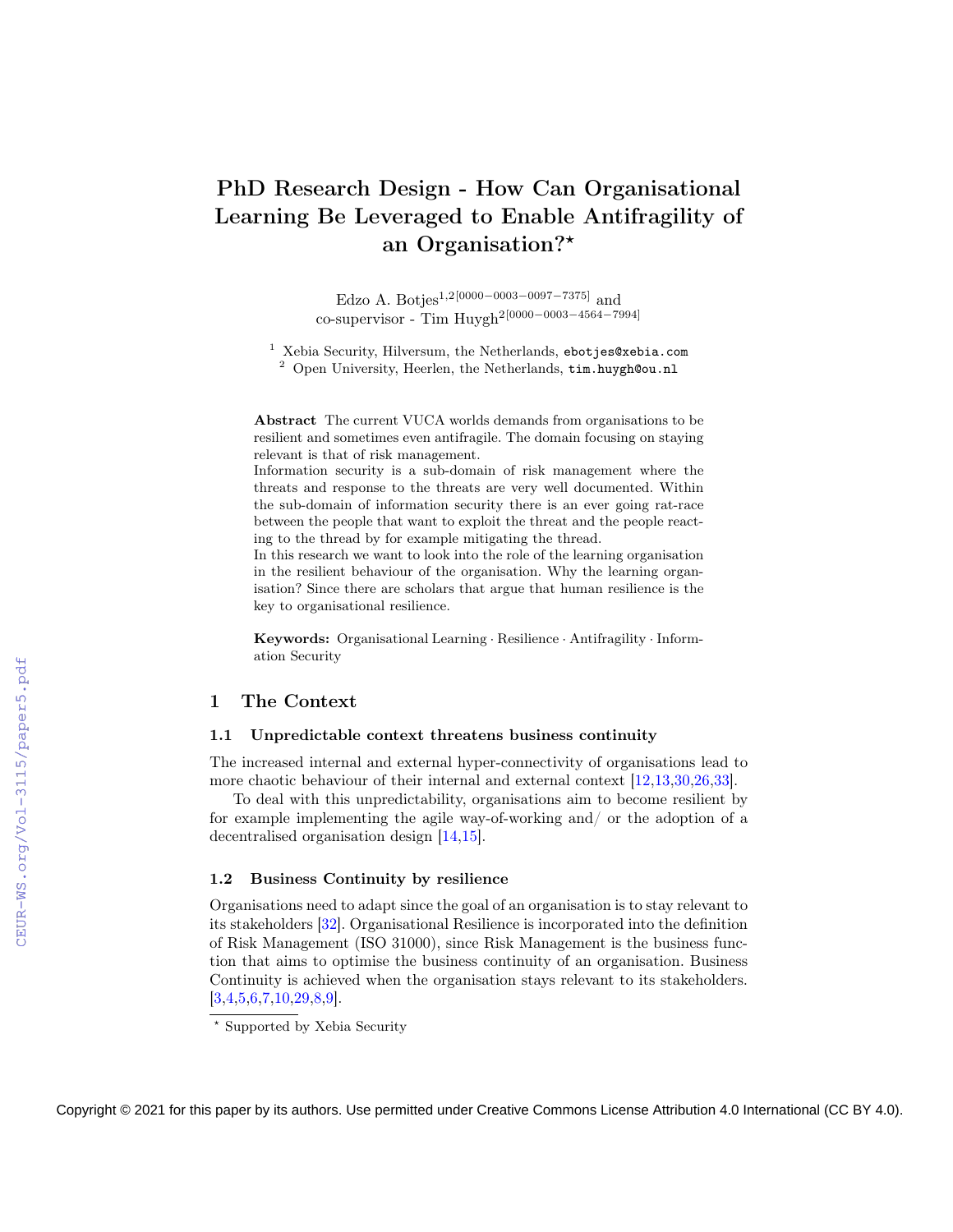# PhD Research Design - How Can Organisational Learning Be Leveraged to Enable Antifragility of an Organisation?\*

Edzo A. Botjes1,2[0000−0003−0097−7375] and co-supervisor - Tim Huygh2[0000−0003−4564−7994]

<sup>1</sup> Xebia Security, Hilversum, the Netherlands, ebotjes@xebia.com <sup>2</sup> Open University, Heerlen, the Netherlands, tim.huygh@ou.nl

Abstract The current VUCA worlds demands from organisations to be resilient and sometimes even antifragile. The domain focusing on staying relevant is that of risk management.

Information security is a sub-domain of risk management where the threats and response to the threats are very well documented. Within the sub-domain of information security there is an ever going rat-race between the people that want to exploit the threat and the people reacting to the thread by for example mitigating the thread.

In this research we want to look into the role of the learning organisation in the resilient behaviour of the organisation. Why the learning organisation? Since there are scholars that argue that human resilience is the key to organisational resilience.

Keywords: Organisational Learning · Resilience · Antifragility · Information Security

# 1 The Context

# 1.1 Unpredictable context threatens business continuity

The increased internal and external hyper-connectivity of organisations lead to more chaotic behaviour of their internal and external context [\[12,](#page--1-0)[13,](#page--1-1)[30,](#page--1-2)[26,](#page--1-3)[33\]](#page--1-4).

To deal with this unpredictability, organisations aim to become resilient by for example implementing the agile way-of-working and/ or the adoption of a decentralised organisation design [\[14,](#page--1-2)[15\]](#page--1-5).

### 1.2 Business Continuity by resilience

Organisations need to adapt since the goal of an organisation is to stay relevant to its stakeholders [\[32\]](#page--1-6). Organisational Resilience is incorporated into the definition of Risk Management (ISO 31000), since Risk Management is the business function that aims to optimise the business continuity of an organisation. Business Continuity is achieved when the organisation stays relevant to its stakeholders.  $[3,4,5,6,7,10,29,8,9]$  $[3,4,5,6,7,10,29,8,9]$  $[3,4,5,6,7,10,29,8,9]$  $[3,4,5,6,7,10,29,8,9]$  $[3,4,5,6,7,10,29,8,9]$  $[3,4,5,6,7,10,29,8,9]$  $[3,4,5,6,7,10,29,8,9]$  $[3,4,5,6,7,10,29,8,9]$  $[3,4,5,6,7,10,29,8,9]$ .

<sup>⋆</sup> Supported by Xebia Security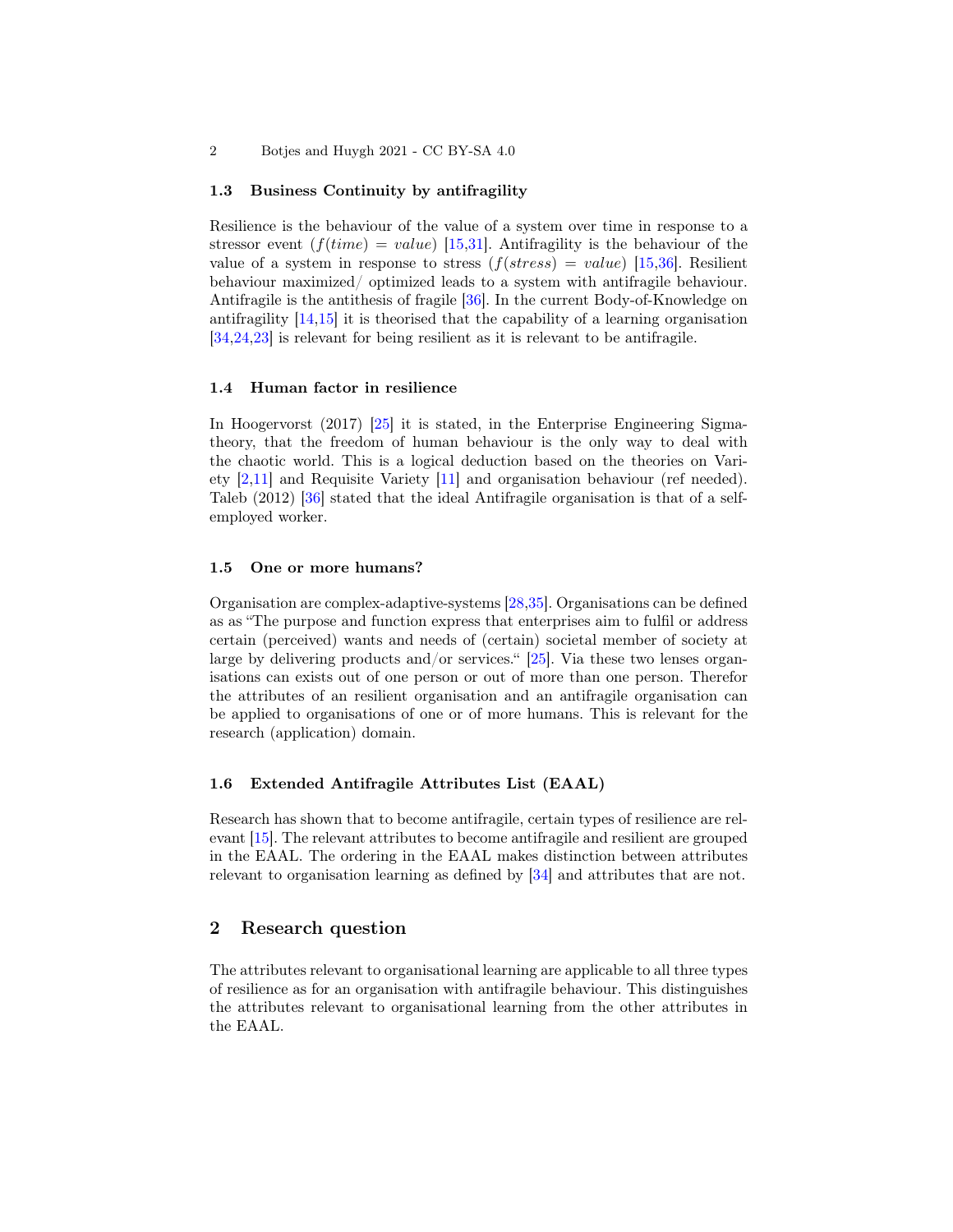### 1.3 Business Continuity by antifragility

Resilience is the behaviour of the value of a system over time in response to a stressor event  $(f(time) = value)$  [\[15](#page-6-0)[,31\]](#page-7-0). Antifragility is the behaviour of the value of a system in response to stress  $(f(stress) = value)$  [\[15](#page-6-0)[,36\]](#page-7-1). Resilient behaviour maximized/ optimized leads to a system with antifragile behaviour. Antifragile is the antithesis of fragile [\[36\]](#page-7-1). In the current Body-of-Knowledge on antifragility [\[14,](#page-6-1)[15\]](#page-6-0) it is theorised that the capability of a learning organisation [\[34](#page-7-2)[,24](#page-6-2)[,23\]](#page-6-3) is relevant for being resilient as it is relevant to be antifragile.

### 1.4 Human factor in resilience

In Hoogervorst (2017) [\[25\]](#page-6-4) it is stated, in the Enterprise Engineering Sigmatheory, that the freedom of human behaviour is the only way to deal with the chaotic world. This is a logical deduction based on the theories on Variety [\[2,](#page-5-0)[11\]](#page-5-1) and Requisite Variety [\[11\]](#page-5-1) and organisation behaviour (ref needed). Taleb (2012) [\[36\]](#page-7-1) stated that the ideal Antifragile organisation is that of a selfemployed worker.

### 1.5 One or more humans?

Organisation are complex-adaptive-systems [\[28,](#page-6-5)[35\]](#page-7-3). Organisations can be defined as as "The purpose and function express that enterprises aim to fulfil or address certain (perceived) wants and needs of (certain) societal member of society at large by delivering products and/or services." [\[25\]](#page-6-4). Via these two lenses organisations can exists out of one person or out of more than one person. Therefor the attributes of an resilient organisation and an antifragile organisation can be applied to organisations of one or of more humans. This is relevant for the research (application) domain.

#### 1.6 Extended Antifragile Attributes List (EAAL)

Research has shown that to become antifragile, certain types of resilience are relevant [\[15\]](#page-6-0). The relevant attributes to become antifragile and resilient are grouped in the EAAL. The ordering in the EAAL makes distinction between attributes relevant to organisation learning as defined by [\[34\]](#page-7-2) and attributes that are not.

# 2 Research question

The attributes relevant to organisational learning are applicable to all three types of resilience as for an organisation with antifragile behaviour. This distinguishes the attributes relevant to organisational learning from the other attributes in the EAAL.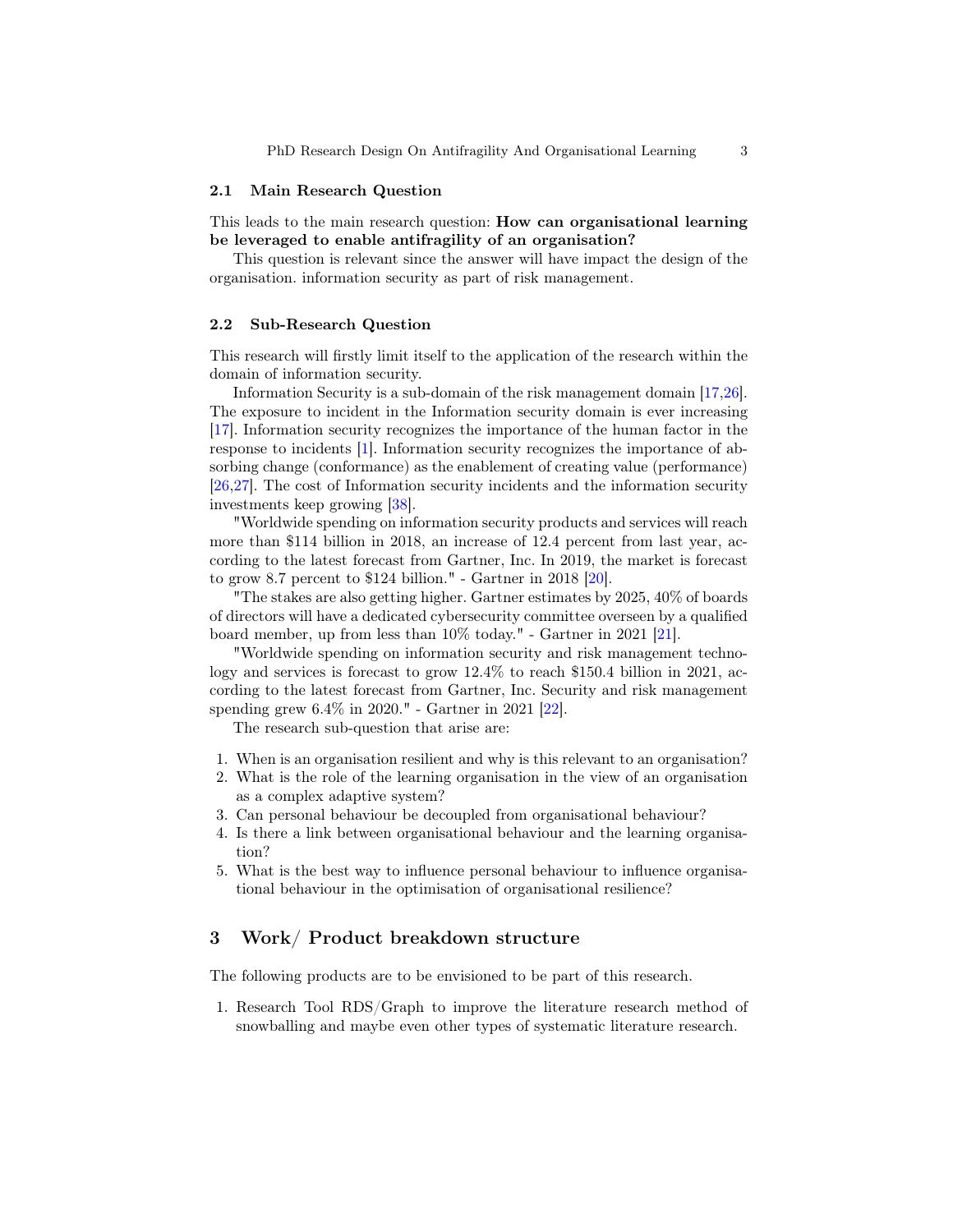#### 2.1 Main Research Question

This leads to the main research question: How can organisational learning be leveraged to enable antifragility of an organisation?

This question is relevant since the answer will have impact the design of the organisation. information security as part of risk management.

### 2.2 Sub-Research Question

This research will firstly limit itself to the application of the research within the domain of information security.

Information Security is a sub-domain of the risk management domain [\[17,](#page-6-6)[26\]](#page-6-7). The exposure to incident in the Information security domain is ever increasing [\[17\]](#page-6-6). Information security recognizes the importance of the human factor in the response to incidents [\[1\]](#page-5-2). Information security recognizes the importance of absorbing change (conformance) as the enablement of creating value (performance) [\[26](#page-6-7)[,27\]](#page-6-8). The cost of Information security incidents and the information security investments keep growing [\[38\]](#page-7-4).

"Worldwide spending on information security products and services will reach more than \$114 billion in 2018, an increase of 12.4 percent from last year, according to the latest forecast from Gartner, Inc. In 2019, the market is forecast to grow 8.7 percent to \$124 billion." - Gartner in 2018 [\[20\]](#page-6-9).

"The stakes are also getting higher. Gartner estimates by 2025, 40% of boards of directors will have a dedicated cybersecurity committee overseen by a qualified board member, up from less than 10% today." - Gartner in 2021 [\[21\]](#page-6-10).

"Worldwide spending on information security and risk management technology and services is forecast to grow 12.4% to reach \$150.4 billion in 2021, according to the latest forecast from Gartner, Inc. Security and risk management spending grew 6.4% in 2020." - Gartner in 2021 [\[22\]](#page-6-11).

The research sub-question that arise are:

- 1. When is an organisation resilient and why is this relevant to an organisation?
- 2. What is the role of the learning organisation in the view of an organisation as a complex adaptive system?
- 3. Can personal behaviour be decoupled from organisational behaviour?
- 4. Is there a link between organisational behaviour and the learning organisation?
- 5. What is the best way to influence personal behaviour to influence organisational behaviour in the optimisation of organisational resilience?

# 3 Work/ Product breakdown structure

The following products are to be envisioned to be part of this research.

1. Research Tool RDS/Graph to improve the literature research method of snowballing and maybe even other types of systematic literature research.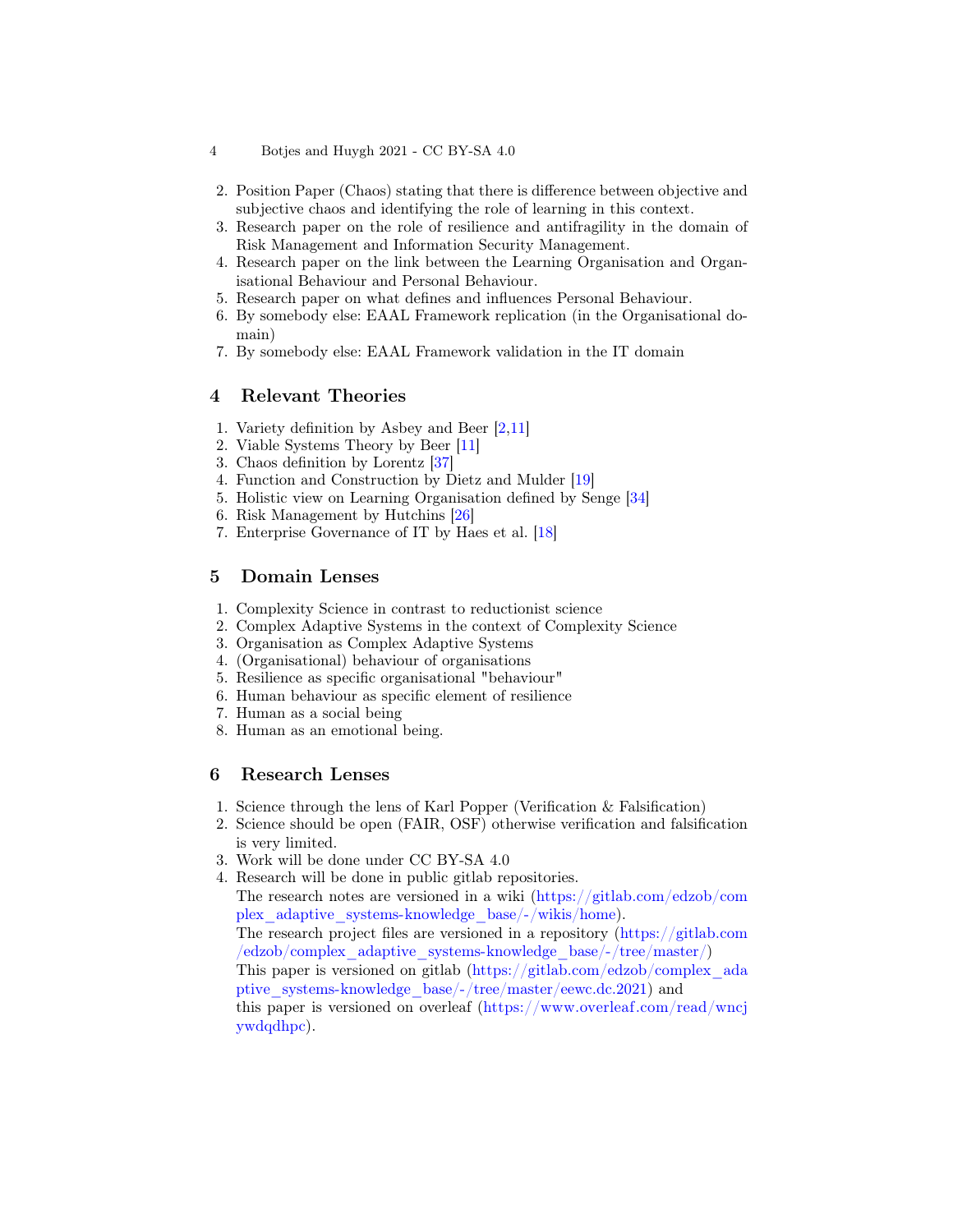- 2. Position Paper (Chaos) stating that there is difference between objective and subjective chaos and identifying the role of learning in this context.
- 3. Research paper on the role of resilience and antifragility in the domain of Risk Management and Information Security Management.
- 4. Research paper on the link between the Learning Organisation and Organisational Behaviour and Personal Behaviour.
- 5. Research paper on what defines and influences Personal Behaviour.
- 6. By somebody else: EAAL Framework replication (in the Organisational domain)
- 7. By somebody else: EAAL Framework validation in the IT domain

# 4 Relevant Theories

- 1. Variety definition by Asbey and Beer [\[2,](#page-5-0)[11\]](#page-5-1)
- 2. Viable Systems Theory by Beer [\[11\]](#page-5-1)
- 3. Chaos definition by Lorentz [\[37\]](#page-7-5)
- 4. Function and Construction by Dietz and Mulder [\[19\]](#page-6-12)
- 5. Holistic view on Learning Organisation defined by Senge [\[34\]](#page-7-2)
- 6. Risk Management by Hutchins [\[26\]](#page-6-7)
- 7. Enterprise Governance of IT by Haes et al. [\[18\]](#page-6-13)

# 5 Domain Lenses

- 1. Complexity Science in contrast to reductionist science
- 2. Complex Adaptive Systems in the context of Complexity Science
- 3. Organisation as Complex Adaptive Systems
- 4. (Organisational) behaviour of organisations
- 5. Resilience as specific organisational "behaviour"
- 6. Human behaviour as specific element of resilience
- 7. Human as a social being
- 8. Human as an emotional being.

# 6 Research Lenses

[ywdqdhpc\)](https://www.overleaf.com/read/wncjywdqdhpc).

- 1. Science through the lens of Karl Popper (Verification & Falsification)
- 2. Science should be open (FAIR, OSF) otherwise verification and falsification is very limited.
- 3. Work will be done under CC BY-SA 4.0
- 4. Research will be done in public gitlab repositories.

The research notes are versioned in a wiki [\(https://gitlab.com/edzob/com](https://gitlab.com/edzob/complex_adaptive_systems-knowledge_base/-/wikis/home) [plex\\_adaptive\\_systems-knowledge\\_base/-/wikis/home\)](https://gitlab.com/edzob/complex_adaptive_systems-knowledge_base/-/wikis/home).

The research project files are versioned in a repository [\(https://gitlab.com](https://gitlab.com/edzob/complex_adaptive_systems-knowledge_base/-/tree/master/) [/edzob/complex\\_adaptive\\_systems-knowledge\\_base/-/tree/master/\)](https://gitlab.com/edzob/complex_adaptive_systems-knowledge_base/-/tree/master/)

This paper is versioned on gitlab [\(https://gitlab.com/edzob/complex\\_ada](https://gitlab.com/edzob/complex_adaptive_systems-knowledge_base/-/tree/master/eewc.dc.2021) [ptive\\_systems-knowledge\\_base/-/tree/master/eewc.dc.2021\)](https://gitlab.com/edzob/complex_adaptive_systems-knowledge_base/-/tree/master/eewc.dc.2021) and this paper is versioned on overleaf [\(https://www.overleaf.com/read/wncj](https://www.overleaf.com/read/wncjywdqdhpc)

<sup>4</sup> Botjes and Huygh 2021 - CC BY-SA 4.0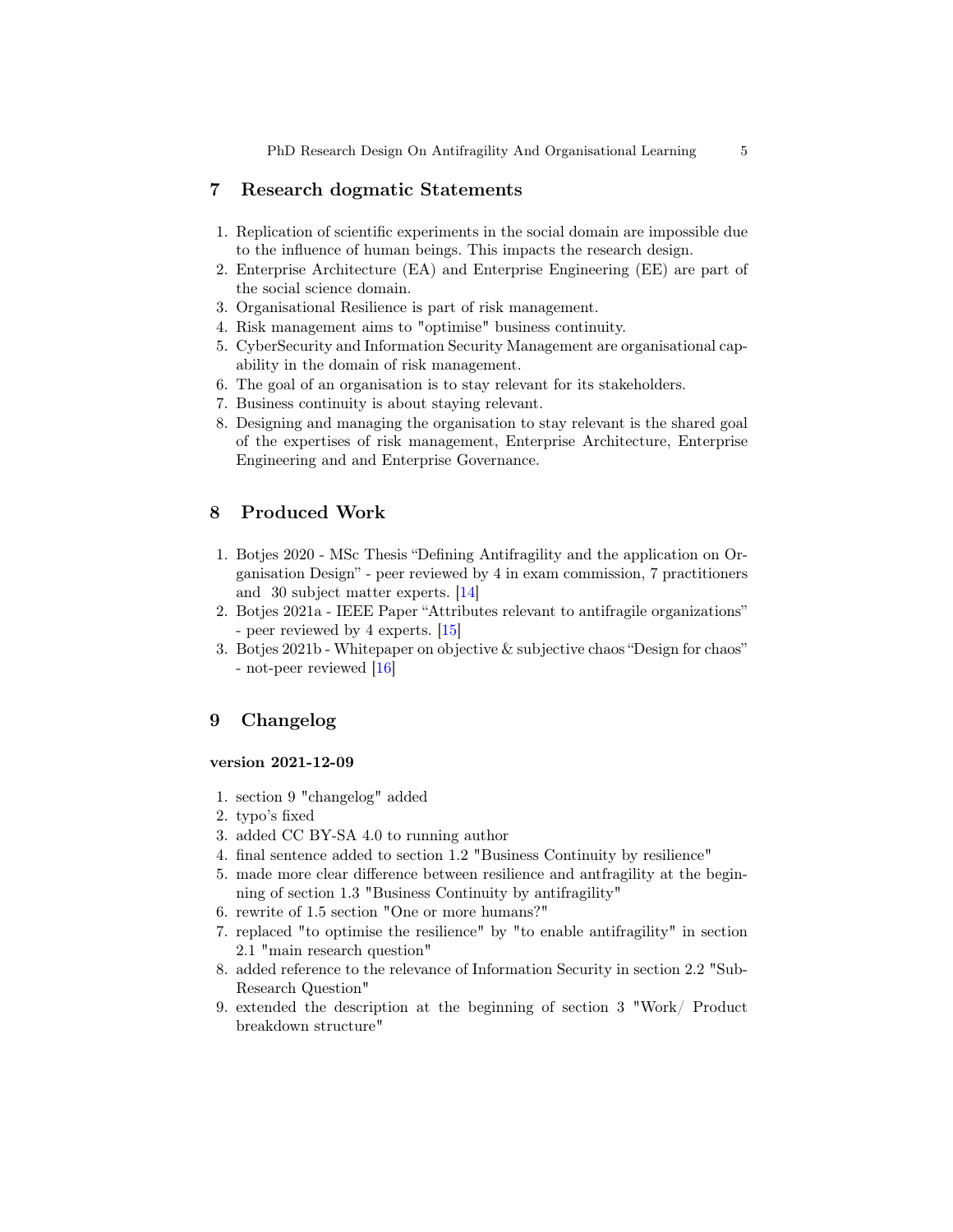PhD Research Design On Antifragility And Organisational Learning 5

### 7 Research dogmatic Statements

- 1. Replication of scientific experiments in the social domain are impossible due to the influence of human beings. This impacts the research design.
- 2. Enterprise Architecture (EA) and Enterprise Engineering (EE) are part of the social science domain.
- 3. Organisational Resilience is part of risk management.
- 4. Risk management aims to "optimise" business continuity.
- 5. CyberSecurity and Information Security Management are organisational capability in the domain of risk management.
- 6. The goal of an organisation is to stay relevant for its stakeholders.
- 7. Business continuity is about staying relevant.
- 8. Designing and managing the organisation to stay relevant is the shared goal of the expertises of risk management, Enterprise Architecture, Enterprise Engineering and and Enterprise Governance.

# 8 Produced Work

- 1. Botjes 2020 MSc Thesis "Defining Antifragility and the application on Organisation Design" - peer reviewed by 4 in exam commission, 7 practitioners and 30 subject matter experts. [\[14\]](#page-6-1)
- 2. Botjes 2021a IEEE Paper "Attributes relevant to antifragile organizations" - peer reviewed by 4 experts. [\[15\]](#page-6-0)
- 3. Botjes 2021b Whitepaper on objective & subjective chaos "Design for chaos" - not-peer reviewed [\[16\]](#page-6-14)

# 9 Changelog

### version 2021-12-09

- 1. section 9 "changelog" added
- 2. typo's fixed
- 3. added CC BY-SA 4.0 to running author
- 4. final sentence added to section 1.2 "Business Continuity by resilience"
- 5. made more clear difference between resilience and antfragility at the beginning of section 1.3 "Business Continuity by antifragility"
- 6. rewrite of 1.5 section "One or more humans?"
- 7. replaced "to optimise the resilience" by "to enable antifragility" in section 2.1 "main research question"
- 8. added reference to the relevance of Information Security in section 2.2 "Sub-Research Question"
- 9. extended the description at the beginning of section 3 "Work/ Product breakdown structure"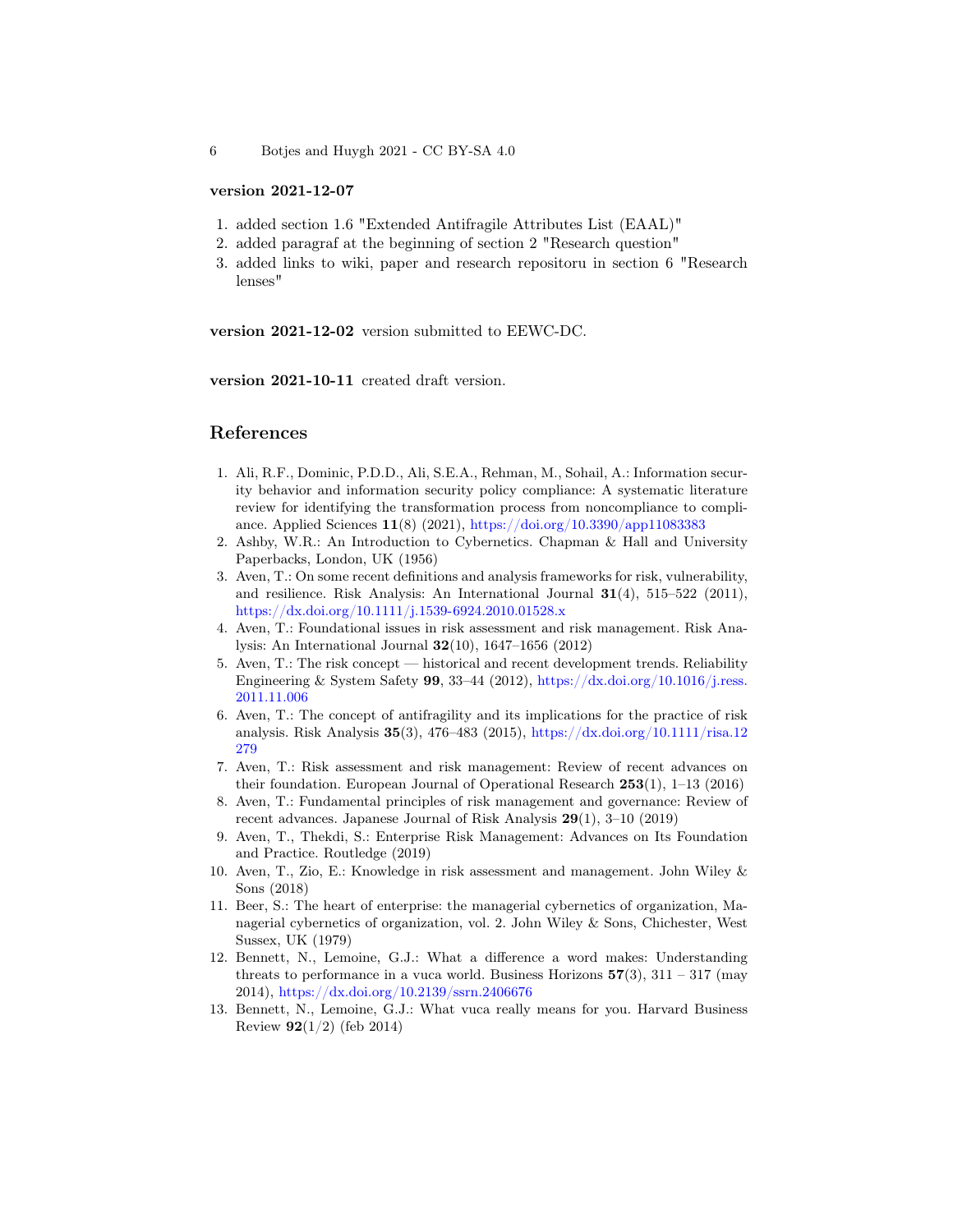6 Botjes and Huygh 2021 - CC BY-SA 4.0

### version 2021-12-07

- 1. added section 1.6 "Extended Antifragile Attributes List (EAAL)"
- 2. added paragraf at the beginning of section 2 "Research question"
- 3. added links to wiki, paper and research repositoru in section 6 "Research lenses"

version 2021-12-02 version submitted to EEWC-DC.

version 2021-10-11 created draft version.

### References

- <span id="page-5-2"></span>1. Ali, R.F., Dominic, P.D.D., Ali, S.E.A., Rehman, M., Sohail, A.: Information security behavior and information security policy compliance: A systematic literature review for identifying the transformation process from noncompliance to compliance. Applied Sciences 11(8) (2021), <https://doi.org/10.3390/app11083383>
- <span id="page-5-0"></span>2. Ashby, W.R.: An Introduction to Cybernetics. Chapman & Hall and University Paperbacks, London, UK (1956)
- 3. Aven, T.: On some recent definitions and analysis frameworks for risk, vulnerability, and resilience. Risk Analysis: An International Journal  $31(4)$ , 515–522 (2011), <https://dx.doi.org/10.1111/j.1539-6924.2010.01528.x>
- 4. Aven, T.: Foundational issues in risk assessment and risk management. Risk Analysis: An International Journal 32(10), 1647–1656 (2012)
- 5. Aven, T.: The risk concept historical and recent development trends. Reliability Engineering & System Safety 99, 33–44 (2012), [https://dx.doi.org/10.1016/j.ress.](https://dx.doi.org/10.1016/j.ress.2011.11.006) [2011.11.006](https://dx.doi.org/10.1016/j.ress.2011.11.006)
- 6. Aven, T.: The concept of antifragility and its implications for the practice of risk analysis. Risk Analysis 35(3), 476–483 (2015), [https://dx.doi.org/10.1111/risa.12](https://dx.doi.org/10.1111/risa.12279) [279](https://dx.doi.org/10.1111/risa.12279)
- 7. Aven, T.: Risk assessment and risk management: Review of recent advances on their foundation. European Journal of Operational Research 253(1), 1–13 (2016)
- 8. Aven, T.: Fundamental principles of risk management and governance: Review of recent advances. Japanese Journal of Risk Analysis 29(1), 3–10 (2019)
- 9. Aven, T., Thekdi, S.: Enterprise Risk Management: Advances on Its Foundation and Practice. Routledge (2019)
- 10. Aven, T., Zio, E.: Knowledge in risk assessment and management. John Wiley & Sons (2018)
- <span id="page-5-1"></span>11. Beer, S.: The heart of enterprise: the managerial cybernetics of organization, Managerial cybernetics of organization, vol. 2. John Wiley & Sons, Chichester, West Sussex, UK (1979)
- 12. Bennett, N., Lemoine, G.J.: What a difference a word makes: Understanding threats to performance in a vuca world. Business Horizons  $57(3)$ ,  $311 - 317$  (may 2014), <https://dx.doi.org/10.2139/ssrn.2406676>
- 13. Bennett, N., Lemoine, G.J.: What vuca really means for you. Harvard Business Review  $92(1/2)$  (feb 2014)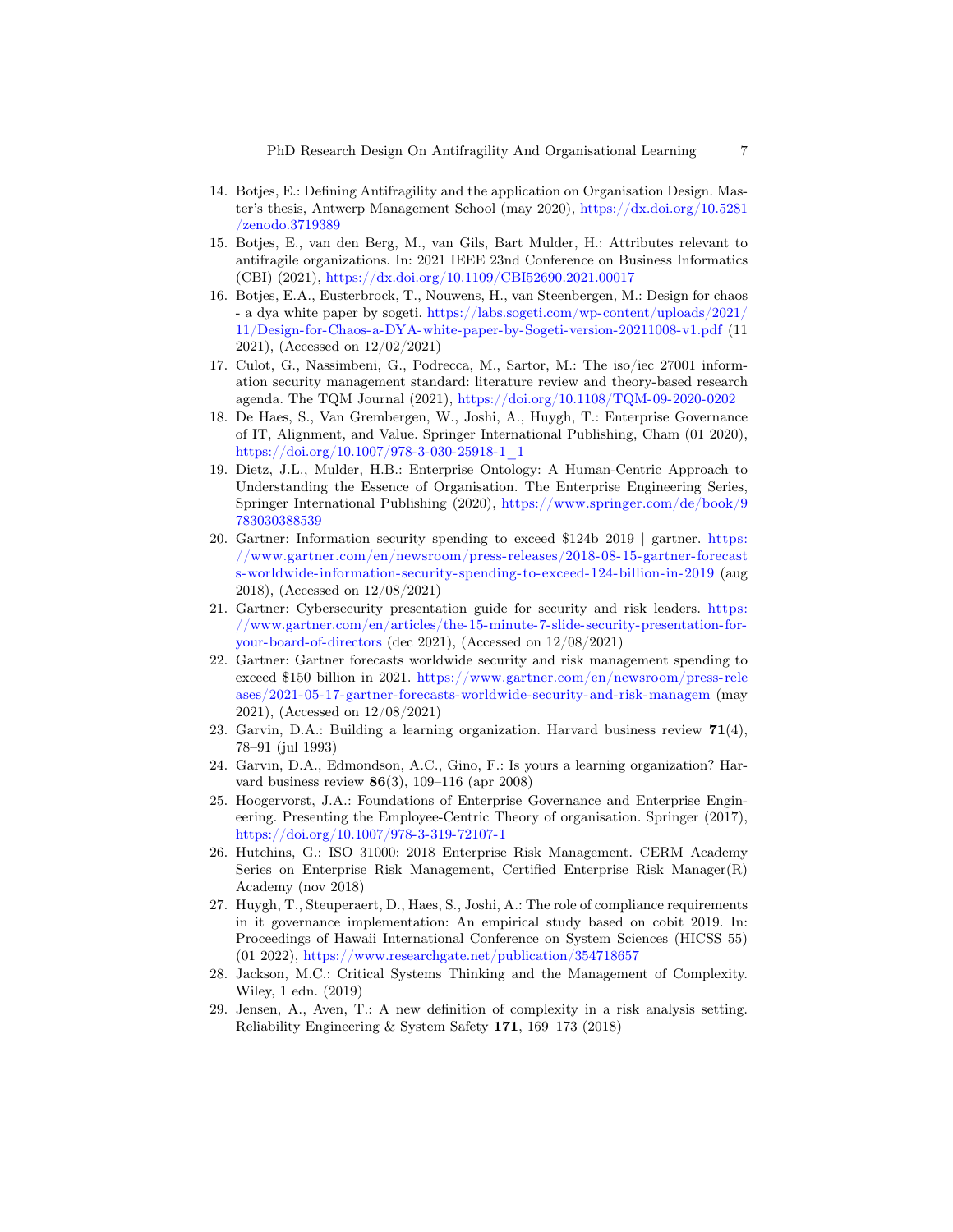- <span id="page-6-1"></span>14. Botjes, E.: Defining Antifragility and the application on Organisation Design. Master's thesis, Antwerp Management School (may 2020), [https://dx.doi.org/10.5281](https://dx.doi.org/10.5281/zenodo.3719389) [/zenodo.3719389](https://dx.doi.org/10.5281/zenodo.3719389)
- <span id="page-6-0"></span>15. Botjes, E., van den Berg, M., van Gils, Bart Mulder, H.: Attributes relevant to antifragile organizations. In: 2021 IEEE 23nd Conference on Business Informatics (CBI) (2021), <https://dx.doi.org/10.1109/CBI52690.2021.00017>
- <span id="page-6-14"></span>16. Botjes, E.A., Eusterbrock, T., Nouwens, H., van Steenbergen, M.: Design for chaos - a dya white paper by sogeti. [https://labs.sogeti.com/wp-content/uploads/2021/](https://labs.sogeti.com/wp-content/uploads/2021/11/Design-for-Chaos-a-DYA-white-paper-by-Sogeti-version-20211008-v1.pdf) [11/Design-for-Chaos-a-DYA-white-paper-by-Sogeti-version-20211008-v1.pdf](https://labs.sogeti.com/wp-content/uploads/2021/11/Design-for-Chaos-a-DYA-white-paper-by-Sogeti-version-20211008-v1.pdf) (11 2021), (Accessed on 12/02/2021)
- <span id="page-6-6"></span>17. Culot, G., Nassimbeni, G., Podrecca, M., Sartor, M.: The iso/iec 27001 information security management standard: literature review and theory-based research agenda. The TQM Journal (2021), <https://doi.org/10.1108/TQM-09-2020-0202>
- <span id="page-6-13"></span>18. De Haes, S., Van Grembergen, W., Joshi, A., Huygh, T.: Enterprise Governance of IT, Alignment, and Value. Springer International Publishing, Cham (01 2020), [https://doi.org/10.1007/978-3-030-25918-1\\_1](https://doi.org/10.1007/978-3-030-25918-1_1)
- <span id="page-6-12"></span>19. Dietz, J.L., Mulder, H.B.: Enterprise Ontology: A Human-Centric Approach to Understanding the Essence of Organisation. The Enterprise Engineering Series, Springer International Publishing (2020), [https://www.springer.com/de/book/9](https://www.springer.com/de/book/9783030388539) [783030388539](https://www.springer.com/de/book/9783030388539)
- <span id="page-6-9"></span>20. Gartner: Information security spending to exceed \$124b 2019 | gartner. [https:](https://www.gartner.com/en/newsroom/press-releases/2018-08-15-gartner-forecasts-worldwide-information-security-spending-to-exceed-124-billion-in-2019) [//www.gartner.com/en/newsroom/press-releases/2018-08-15-gartner- forecast](https://www.gartner.com/en/newsroom/press-releases/2018-08-15-gartner-forecasts-worldwide-information-security-spending-to-exceed-124-billion-in-2019) [s-worldwide-information-security-spending-to-exceed-124-billion-in-2019](https://www.gartner.com/en/newsroom/press-releases/2018-08-15-gartner-forecasts-worldwide-information-security-spending-to-exceed-124-billion-in-2019) (aug 2018), (Accessed on 12/08/2021)
- <span id="page-6-10"></span>21. Gartner: Cybersecurity presentation guide for security and risk leaders. [https:](https://www.gartner.com/en/articles/the-15-minute-7-slide-security-presentation-for-your-board-of-directors) [//www.gartner.com/en/articles/the-15-minute-7-slide-security-presentation-for](https://www.gartner.com/en/articles/the-15-minute-7-slide-security-presentation-for-your-board-of-directors)[your-board-of-directors](https://www.gartner.com/en/articles/the-15-minute-7-slide-security-presentation-for-your-board-of-directors) (dec 2021), (Accessed on 12/08/2021)
- <span id="page-6-11"></span>22. Gartner: Gartner forecasts worldwide security and risk management spending to exceed \$150 billion in 2021. [https://www.gartner.com/en/newsroom/press-rele](https://www.gartner.com/en/newsroom/press-releases/2021-05-17-gartner-forecasts-worldwide-security-and-risk-managem) [ases/2021-05-17-gartner-forecasts-worldwide-security-and-risk-managem](https://www.gartner.com/en/newsroom/press-releases/2021-05-17-gartner-forecasts-worldwide-security-and-risk-managem) (may 2021), (Accessed on 12/08/2021)
- <span id="page-6-3"></span>23. Garvin, D.A.: Building a learning organization. Harvard business review  $71(4)$ , 78–91 (jul 1993)
- <span id="page-6-2"></span>24. Garvin, D.A., Edmondson, A.C., Gino, F.: Is yours a learning organization? Harvard business review 86(3), 109–116 (apr 2008)
- <span id="page-6-4"></span>25. Hoogervorst, J.A.: Foundations of Enterprise Governance and Enterprise Engineering. Presenting the Employee-Centric Theory of organisation. Springer (2017), <https://doi.org/10.1007/978-3-319-72107-1>
- <span id="page-6-7"></span>26. Hutchins, G.: ISO 31000: 2018 Enterprise Risk Management. CERM Academy Series on Enterprise Risk Management, Certified Enterprise Risk Manager(R) Academy (nov 2018)
- <span id="page-6-8"></span>27. Huygh, T., Steuperaert, D., Haes, S., Joshi, A.: The role of compliance requirements in it governance implementation: An empirical study based on cobit 2019. In: Proceedings of Hawaii International Conference on System Sciences (HICSS 55) (01 2022), <https://www.researchgate.net/publication/354718657>
- <span id="page-6-5"></span>28. Jackson, M.C.: Critical Systems Thinking and the Management of Complexity. Wiley, 1 edn. (2019)
- 29. Jensen, A., Aven, T.: A new definition of complexity in a risk analysis setting. Reliability Engineering & System Safety 171, 169–173 (2018)